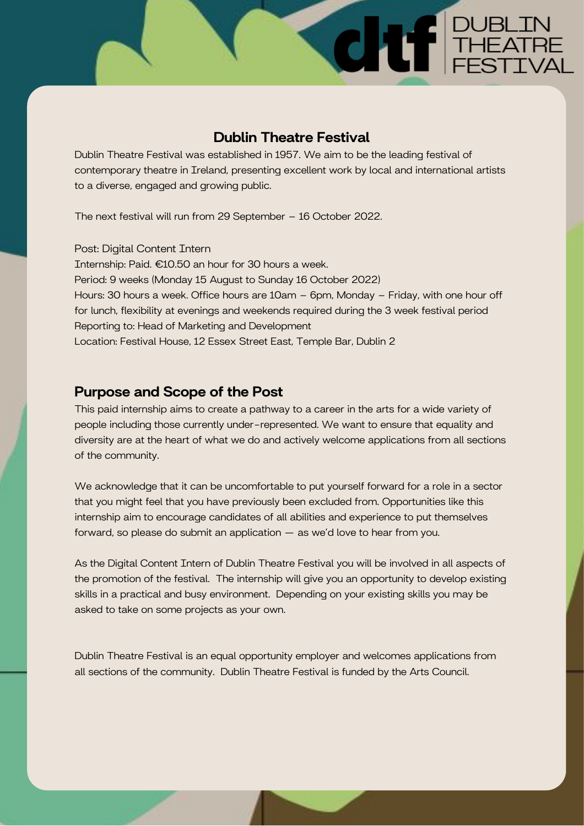#### Dublin Theatre Festival

**CHIF** PUBLIN

Dublin Theatre Festival was established in 1957. We aim to be the leading festival of contemporary theatre in Ireland, presenting excellent work by local and international artists to a diverse, engaged and growing public.

The next festival will run from 29 September – 16 October 2022.

Post: Digital Content Intern Internship: Paid. €10.50 an hour for 30 hours a week. Period: 9 weeks (Monday 15 August to Sunday 16 October 2022) Hours: 30 hours a week. Office hours are 10am – 6pm, Monday – Friday, with one hour off for lunch, flexibility at evenings and weekends required during the 3 week festival period Reporting to: Head of Marketing and Development Location: Festival House, 12 Essex Street East, Temple Bar, Dublin 2

#### Purpose and Scope of the Post

This paid internship aims to create a pathway to a career in the arts for a wide variety of people including those currently under-represented. We want to ensure that equality and diversity are at the heart of what we do and actively welcome applications from all sections of the community.

We acknowledge that it can be uncomfortable to put yourself forward for a role in a sector that you might feel that you have previously been excluded from. Opportunities like this internship aim to encourage candidates of all abilities and experience to put themselves forward, so please do submit an application — as we'd love to hear from you.

As the Digital Content Intern of Dublin Theatre Festival you will be involved in all aspects of the promotion of the festival. The internship will give you an opportunity to develop existing skills in a practical and busy environment. Depending on your existing skills you may be asked to take on some projects as your own.

Dublin Theatre Festival is an equal opportunity employer and welcomes applications from all sections of the community. Dublin Theatre Festival is funded by the Arts Council.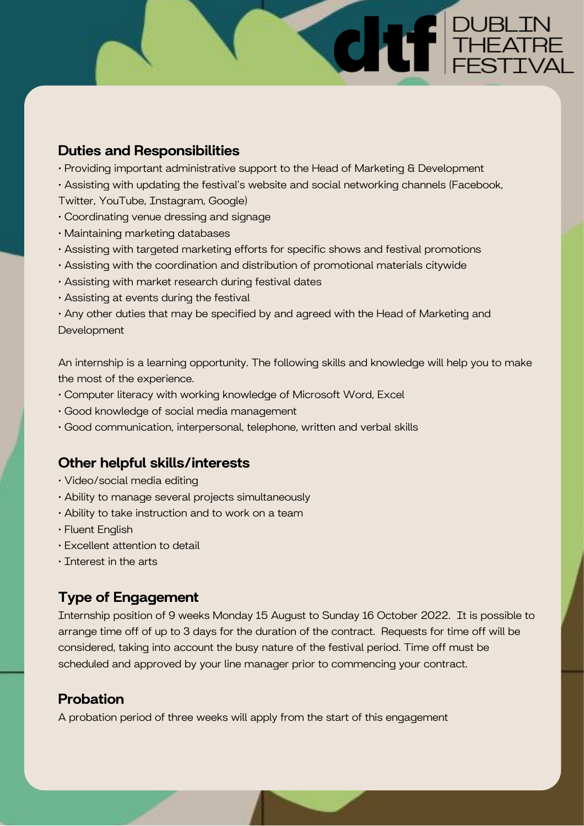### Duties and Responsibilities

- Providing important administrative support to the Head of Marketing & Development
- Assisting with updating the festival's website and social networking channels (Facebook,

**CHIF** PUBLIN

- Twitter, YouTube, Instagram, Google)
- Coordinating venue dressing and signage
- Maintaining marketing databases
- Assisting with targeted marketing efforts for specific shows and festival promotions
- Assisting with the coordination and distribution of promotional materials citywide
- Assisting with market research during festival dates
- Assisting at events during the festival

• Any other duties that may be specified by and agreed with the Head of Marketing and **Development** 

An internship is a learning opportunity. The following skills and knowledge will help you to make the most of the experience.

- Computer literacy with working knowledge of Microsoft Word, Excel
- Good knowledge of social media management
- Good communication, interpersonal, telephone, written and verbal skills

## Other helpful skills/interests

- Video/social media editing
- Ability to manage several projects simultaneously
- Ability to take instruction and to work on a team
- Fluent English
- Excellent attention to detail
- Interest in the arts

# Type of Engagement

Internship position of 9 weeks Monday 15 August to Sunday 16 October 2022. It is possible to arrange time off of up to 3 days for the duration of the contract. Requests for time off will be considered, taking into account the busy nature of the festival period. Time off must be scheduled and approved by your line manager prior to commencing your contract.

## Probation

A probation period of three weeks will apply from the start of this engagement